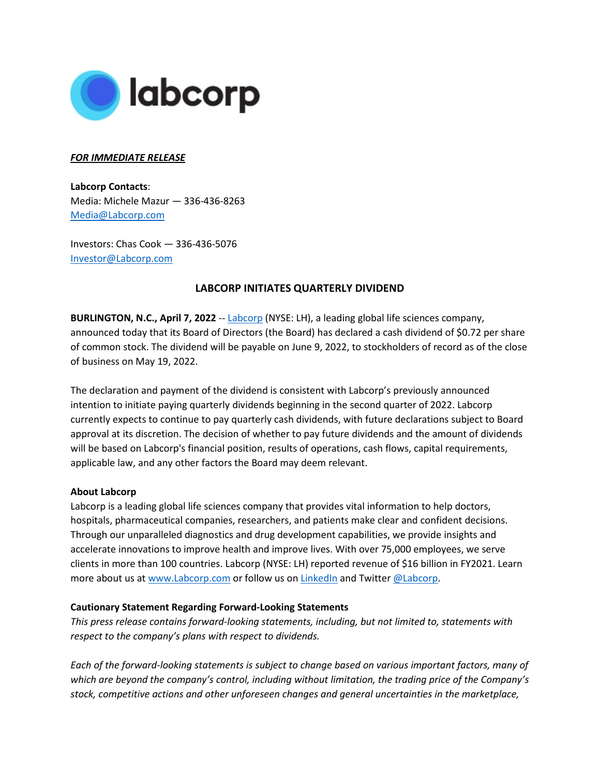

## *FOR IMMEDIATE RELEASE*

**Labcorp Contacts**: Media: Michele Mazur — 336-436-8263 [Media@Labcorp.com](mailto:Media@Labcorp.com)

Investors: Chas Cook — 336-436-5076 [Investor@Labcorp.com](mailto:Investor@Labcorp.com)

## **LABCORP INITIATES QUARTERLY DIVIDEND**

**BURLINGTON, N.C., April 7, 2022** -- [Labcorp](https://www.labcorp.com/) (NYSE: LH), a leading global life sciences company, announced today that its Board of Directors (the Board) has declared a cash dividend of \$0.72 per share of common stock. The dividend will be payable on June 9, 2022, to stockholders of record as of the close of business on May 19, 2022.

The declaration and payment of the dividend is consistent with Labcorp's previously announced intention to initiate paying quarterly dividends beginning in the second quarter of 2022. Labcorp currently expects to continue to pay quarterly cash dividends, with future declarations subject to Board approval at its discretion. The decision of whether to pay future dividends and the amount of dividends will be based on Labcorp's financial position, results of operations, cash flows, capital requirements, applicable law, and any other factors the Board may deem relevant.

## **About Labcorp**

Labcorp is a leading global life sciences company that provides vital information to help doctors, hospitals, pharmaceutical companies, researchers, and patients make clear and confident decisions. Through our unparalleled diagnostics and drug development capabilities, we provide insights and accelerate innovations to improve health and improve lives. With over 75,000 employees, we serve clients in more than 100 countries. Labcorp (NYSE: LH) reported revenue of \$16 billion in FY2021. Learn more about us at [www.Labcorp.com](https://www.labcorp.com/) or follow us on [LinkedIn](https://www.linkedin.com/company/labcorp) and Twitter [@Labcorp.](https://twitter.com/labcorp)

## **Cautionary Statement Regarding Forward-Looking Statements**

*This press release contains forward-looking statements, including, but not limited to, statements with respect to the company's plans with respect to dividends.*

*Each of the forward-looking statements is subject to change based on various important factors, many of which are beyond the company's control, including without limitation, the trading price of the Company's stock, competitive actions and other unforeseen changes and general uncertainties in the marketplace,*